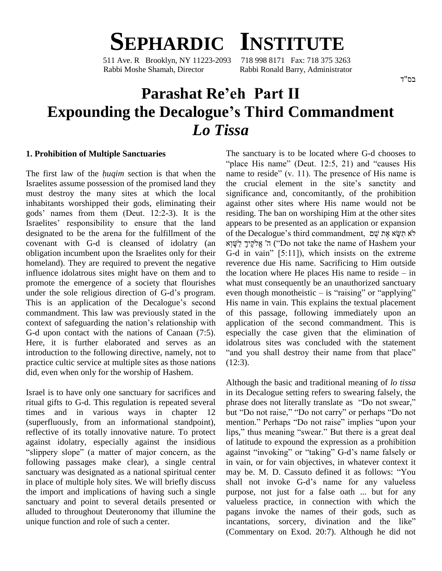

511 Ave. R Brooklyn, NY 11223-2093 Rabbi Moshe Shamah, Director Rabbi Ronald Barry, Administrator

# **Parashat Reíeh Part II Expounding the Decalogueís Third Commandment** *Lo Tissa*

#### **1. Prohibition of Multiple Sanctuaries**

The first law of the *huqim* section is that when the name to reside" (v. 11). The presence of His name is Israelites assume possession of the promised land they the crucial element in the site's sanctity and must destroy the many sites at which the local inhabitants worshipped their gods, eliminating their must destroy the many sites at which the local significant<br>inhabitants worshipped their gods, eliminating their again<br>gods' names from them (Deut. 12:2-3). It is the residi gods' names from them (Deut. 12:2-3). It is the Israelites' responsibility to ensure that the land designated to be the arena for the fulfillment of the covenant with G-d is cleansed of idolatry (an obligation incumbent upon the Israelites only for their G-d in vain" [5:11]), which insists on the extreme homeland). They are required to prevent the negative influence idolatrous sites might have on them and to the loopromote the emergence of a society that flourishes what is under the sole religious direction of G-d's program. promote the emergence of a society that flourishes what is under the sole religious direction of G-d's program. even this is an application of the Decalogue's second His na commandment. This law was previously stated in the This is an application of the Decalogue's second His nation<br>commandment. This law was previously stated in the of this<br>context of safeguarding the nation's relationship with applic G-d upon contact with the nations of Canaan (7:5). Here, it is further elaborated and serves as an idolatrous sites was concluded with the statement introduction to the following directive, namely, not to "and you shall destroy their name from that place" practice cultic service at multiple sites as those nations did, even when only for the worship of Hashem.

Israel is to have only one sanctuary for sacrifices and ritual gifts to G-d. This regulation is repeated several phrase does not literally translate as "Do not swear," times and in various ways in chapter 12 but "Do not raise," "Do not carry" or perhaps "Do not (superfluously, from an informational standpoint), mention." Perhaps "Do not raise" implies "upon your (superfluously, from an informational standpoint), reflective of its totally innovative nature. To protect lips,"<br>against idolatry, especially against the insidious of lat<br>"slippery slope" (a matter of major concern, as the again following passages make clear), a single central sanctuary was designated as a national spiritual center may be. M. D. Cassuto defined it as follows: "You in place of multiple holy sites. We will briefly discuss shall not invoke G-d's name for any valueless the import and implications of having such a single sanctuary and point to several details presented or alluded to throughout Deuteronomy that illumine the unique function and role of such a center.

The sanctuary is to be located where G-d chooses to nctuary is to be located where G-d chooses to<br>His name" (Deut. 12:5, 21) and "causes His The sanctuary is to be located where G-d chooses to "place His name" (Deut. 12:5, 21) and "causes His name to reside" (v. 11). The presence of His name is "place His name" (Deut. 12:5, 21) and "causes His<br>name to reside" (v. 11). The presence of His name is<br>the crucial element in the site's sanctity and significance and, concomitantly, of the prohibition against other sites where His name would not be residing. The ban on worshiping Him at the other sites appears to be presented as an application or expansion residing. The ban on worshiping Him at the other sites<br>appears to be presented as an application or expansion<br>לֹא תִשְׂא אֶת שֵׁם, אֲח שֵׁם ears to be presented as an application or expansion<br>he Decalogue's third commandment, לֹא תִשָּׂא אֶת שֵׁם<br>ה' אֱלֹקֶיךָ לַ (''Do not take the name of Hashem your G the Decalogue's third commandment, לֹא תִשְׂא אֶת אֶלֹקֵיךָ<br>ה' אֱלֹקֶיךָ לֵשָּׁוְא<br>G-d in vain'' [5:11]), which insists on the extreme reverence due His name. Sacrificing to Him outside the location where He places His name to reside  $-$  in what must consequently be an unauthorized sanctuary even though monotheistic  $-$  is "raising" or "applying" His name in vain. This explains the textual placement of this passage, following immediately upon an application of the second commandment. This is especially the case given that the elimination of idolatrous sites was concluded with the statement "and you shall destroy their name from that place" (12:3).

Although the basic and traditional meaning of *lo tissa* in its Decalogue setting refers to swearing falsely, the Although the basic and traditional meaning of *lo tissa*<br>in its Decalogue setting refers to swearing falsely, the<br>phrase does not literally translate as "Do not swear," in its Decalogue setting refers to swearing falsely, the phrase does not literally translate as "Do not swear,"<br>but "Do not raise," "Do not carry" or perhaps "Do not phrase does not literally translate as "Do not swear,"<br>but "Do not raise," "Do not carry" or perhaps "Do not<br>mention." Perhaps "Do not raise" implies "upon your but "Do not raise," "Do not carry" or perhaps "Do not mention." Perhaps "Do not raise" implies "upon your lips," thus meaning "swear." But there is a great deal of latitude to expound the expression as a prohibition lips," thus meaning "swear." But there is a great deal<br>of latitude to expound the expression as a prohibition<br>against "invoking" or "taking" G-d's name falsely or in vain, or for vain objectives, in whatever context it against "invoking" or "taking" G-d's name falsely or<br>in vain, or for vain objectives, in whatever context it<br>may be. M. D. Cassuto defined it as follows: "You in vain, or for vain objectives, in whatever context it<br>may be. M. D. Cassuto defined it as follows: "You<br>shall not invoke G-d's name for any valueless purpose, not just for a false oath ... but for any valueless practice, in connection with which the pagans invoke the names of their gods, such as incantations, sorcery, divination and the like" pagans invoke the names of their gods, such as (Commentary on Exod. 20:7). Although he did not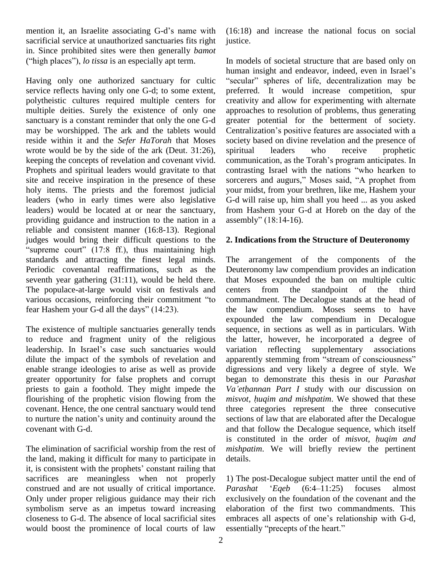mention it, an Israelite associating G-d's name with sacrificial service at unauthorized sanctuaries fits right in. Since prohibited sites were then generally *bamot* sacrificial service at unauthorized sanctuaries fits rightin. Since prohibited sites were then generally *bame* ("high places"), *lo tissa* is an especially apt term.

service reflects having only one G-d; to some extent, polytheistic cultures required multiple centers for multiple deities. Surely the existence of only one sanctuary is a constant reminder that only the one G-d may be worshipped. The ark and the tablets would Centralization's positive features are associated with a reside within it and the *Sefer HaTorah* that Moses wrote would be by the side of the ark (Deut. 31:26), spiritual keeping the concepts of revelation and covenant vivid. Prophets and spiritual leaders would gravitate to that contrasting Israel with the nations "who hearken to site and receive inspiration in the presence of these holy items. The priests and the foremost judicial leaders (who in early times were also legislative leaders) would be located at or near the sanctuary, providing guidance and instruction to the nation in a assembly" (18:14-16). reliable and consistent manner (16:8-13). Regional judges would bring their difficult questions to the 2. Ine d consistent manner  $(16:8-13)$ . Regional<br>uld bring their difficult questions to the 2. Ind<br>court"  $(17:8 \text{ ff.})$ , thus maintaining high standards and attracting the finest legal minds. Periodic covenantal reaffirmations, such as the seventh year gathering (31:11), would be held there. that N<br>The populace-at-large would visit on festivals and center<br>various occasions, reinforcing their commitment "to comm The populace-at-large would visit on festivals and centers various occasions, reinforcing their commitment "to fear Hashem your G-d all the days" (14:23).

The existence of multiple sanctuaries generally tends to reduce and fragment unity of the religious The existence of multiple sanctuaries generally tends<br>to reduce and fragment unity of the religious the la<br>leadership. In Israel's case such sanctuaries would variati dilute the impact of the symbols of revelation and apparently stemming from "stream of consciousness" enable strange ideologies to arise as well as provide greater opportunity for false prophets and corrupt priests to gain a foothold. They might impede the flourishing of the prophetic vision flowing from the *misvot*, covenant. Hence, the one central sanctuary would tend three to nurture the nation's unity and continuity around the section covenant. Hence, the one central sanctuary would tend covenant with G-d.

The elimination of sacrificial worship from the rest of the land, making it difficult for many to participate in The elimination of sacrificial worship from the rest of  $m$ <br>the land, making it difficult for many to participate in de<br>it, is consistent with the prophets' constant railing that sacrifices are meaningless when not properly construed and are not usually of critical importance. Parashat Only under proper religious guidance may their rich symbolism serve as an impetus toward increasing closeness to G-d. The absence of local sacrificial sites embraces all aspects of one's relationship with G-d, would boost the prominence of local courts of law essentially "precepts of the heart."

(16:18) and increase the national focus on social justice.

Having only one authorized sanctuary for cultic "secular" spheres of life, decentralization may be In models of societal structure that are based only on In models of societal structure that are based only on<br>human insight and endeavor, indeed, even in Israel's of societal structure that are based only on<br>ight and endeavor, indeed, even in Israel's<br>spheres of life, decentralization may be preferred. It would increase competition, spur creativity and allow for experimenting with alternate approaches to resolution of problems, thus generating Centralizationís positive features are associated with <sup>a</sup> greater potential for the betterment of society. society based on divine revelation and the presence of<br>spiritual leaders who receive prophetic<br>communication, as the Torah's program anticipates. In leaders who receive prophetic communication, as the Torah's program anticipates. In sorcerers and augurs," Moses said, "A prophet from your midst, from your brethren, like me, Hashem your G-d will raise up, him shall you heed ... as you asked<br>from Hashem your G-d at Horeb on the day of the<br>assembly" (18:14-16). from Hashem your G-d at Horeb on the day of the

### **2. Indications from the Structure of Deuteronomy**

The arrangement of the components of the Deuteronomy law compendium provides an indication that Moses expounded the ban on multiple cultic from the standpoint of the third commandment. The Decalogue stands at the head of the law compendium. Moses seems to have expounded the law compendium in Decalogue sequence, in sections as well as in particulars. With the latter, however, he incorporated a degree of variation reflecting supplementary associations apparently stemming from "stream of consciousness" variation reflecting supplementary associations digressions and very likely a degree of style. We began to demonstrate this thesis in our *Parashat* digressions and very likely a degree of style. We<br>began to demonstrate this thesis in our *Parashat*<br>Va'ethannan Part I study with our discussion on *began to demonstrate this thesis in our Parashat Va'ethannan Part I study with our discussion on misvot, huqim and mishpatim. We showed that these* three categories represent the three consecutive sections of law that are elaborated after the Decalogue<br>and that follow the Decalogue sequence, which itself<br>is constituted in the order of *misvot, huqim and* and that follow the Decalogue sequence, which itself *mishpatim*. We will briefly review the pertinent details.

1) The post-Decalogue subject matter until the end of 1) The post-Decalogue subject matter until the end of *Parashat* '*Eqeb* (6:4–11:25) focuses almost exclusively on the foundation of the covenant and the elaboration of the first two commandments. This exclusively on the foundation of the covenant and the elaboration of the first two commandments. This embraces all aspects of one's relationship with G-d, elaboration of the first two comembraces all aspects of one's relations<br>essentially "precepts of the heart."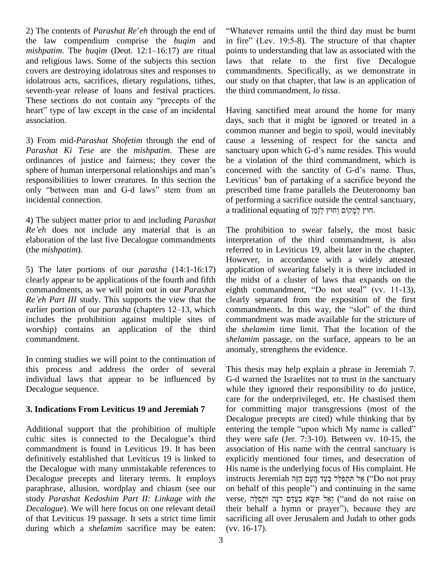2) The contents of *Parashat Re'eh* through the end of "W 2) The contents of *Parashat Re'eh* through the end of "What the law compendium comprise the *huqim* and in fire 2) The contents of *Parashat Re'eh* through the end of "V the law compendium comprise the *huqim* and in *mishpatim*. The *huqim* (Deut. 12:1–16:17) are ritual position and religious laws. Some of the subjects this section covers are destroying idolatrous sites and responses to idolatrous acts, sacrifices, dietary regulations, tithes, seventh-year release of loans and festival practices. idolatrous acts, sacrifices, dietary regulations, tithes, our s<br>seventh-year release of loans and festival practices. the the<br>These sections do not contain any "precepts of the seventh-year release of loans and festival practices. the<br>These sections do not contain any "precepts of the<br>heart" type of law except in the case of an incidental Ha association.

3) From mid-*Parashat Shofetim* through the end of *Parashat Ki Tese* are the *mishpatim*. These are ordinances of justice and fairness; they cover the *Parashat Ki Tese* are the *mishpatim*. These are sance ordinances of justice and fairness; they cover the be a sphere of human interpersonal relationships and man's cond responsibilities to lower creatures. In this section the Leviticus' ban of partaking of a sacrifice beyond the sphere of human interpersonal relationships and man's<br>responsibilities to lower creatures. In this section the<br>only "between man and G-d laws" stem from an prescribed time frame parallels the Deuteronomy ban incidental connection.

4) The subject matter prior to and including *Parashat* a tradi<br> *Re eh* does not include any material that is an The parallelection and include any material that is an The parallelection. elaboration of the last five Decalogue commandments (the *mishpatim*).

5) The later portions of our *parasha* (14:1-16:17) clearly appear to be applications of the fourth and fifth commandments, as we will point out in our *Parashat Rearly appear to be applications of the fourth and fifth the numandments, as we will point out in our <i>Parashat* eight *Re*<sup>*'eh Part III* study. This supports the view that the clearly</sup> commandments, as we will point out in our *Parashat* eighth Re'eh Part III study. This supports the view that the clearly earlier portion of our *parasha* (chapters 12–13, which comm includes the prohibition against multiple sites of worship) contains an application of the third commandment.

In coming studies we will point to the continuation of this process and address the order of several individual laws that appear to be influenced by Decalogue sequence.

### **3. Indications From Leviticus 19 and Jeremiah 7**

Additional support that the prohibition of multiple entering the temple "upon which My name is called" cultic sites is connected to the Decalogue's third commandment is found in Leviticus 19. It has been definitively established that Leviticus 19 is linked to the Decalogue with many unmistakable references to Decalogue precepts and literary terms. It employs instructs Jeremiah אֵל תְּתְפַּלֵּל בְּעַד הָעָם הַזֶּה "Do not pray paraphrase, allusion, wordplay and chiasm (see our study *Parashat Kedoshim Part II: Linkage with the Decalogue*). We will here focus on one relevant detail their behalf a hymn or prayer", because they are of that Leviticus 19 passage. It sets a strict time limit during which a *shelamim* sacrifice may be eaten:

"Whatever remains until the third day must be burnt in fire" (Lev.  $19:5-8$ ). The structure of that chapter points to understanding that law as associated with the laws that relate to the first five Decalogue commandments. Specifically, as we demonstrate in our study on that chapter, that law is an application of the third commandment, *lo tissa*.

Having sanctified meat around the home for many days, such that it might be ignored or treated in a common manner and begin to spoil, would inevitably cause a lessening of respect for the sancta and common manner and begin to spoil, would inevitably<br>cause a lessening of respect for the sancta and<br>sanctuary upon which G-d's name resides. This would be a violation of the third commandment, which is sanctuary upon which G-d's name resides. This would<br>be a violation of the third commandment, which is<br>concerned with the sanctity of G-d's name. Thus, be a violation of the third commandment, which is<br>concerned with the sanctity of G-d's name. Thus,<br>Leviticus' ban of partaking of a sacrifice beyond the prescribed time frame parallels the Deuteronomy ban<br>of performing a sacrifice outside the central sanctuary,<br>מוֹץ לַמְקוֹם וְחוּץ לַזְמַן (חוִיץ לִזְמַן. of performing a sacrifice outside the central sanctuary,

The prohibition to swear falsely, the most basic interpretation of the third commandment, is also referred to in Leviticus 19, albeit later in the chapter. However, in accordance with a widely attested application of swearing falsely it is there included in the midst of a cluster of laws that expands on the application of swearing falsely it is there included in<br>the midst of a cluster of laws that expands on the<br>eighth commandment, "Do not steal" (vv. 11-13), clearly separated from the exposition of the first eighth commandment, "Do not steal" (vv. 11-13),<br>clearly separated from the exposition of the first<br>commandments. In this way, the "slot" of the third commandment was made available for the stricture of the *shelamim* time limit. That the location of the *shelamim* passage, on the surface, appears to be an anomaly, strengthens the evidence.

This thesis may help explain a phrase in Jeremiah 7. G-d warned the Israelites not to trust in the sanctuary while they ignored their responsibility to do justice, care for the underprivileged, etc. He chastised them for committing major transgressions (most of the Decalogue precepts are cited) while thinking that by entering the temple "upon which My name is called" Decalogue precepts are cited) while thinking that by they were safe (Jer. 7:3-10). Between vv. 10-15, the association of His name with the central sanctuary is explicitly mentioned four times, and desecration of<br>His name is the underlying focus of His complaint. He<br>instructs Jeremiah אֱל תְּחָפַּלֵּל בְּעַד הָעָם הַזֶּה (`Do not pray His name is the underlying focus of His complaint. He<br>instructs Jeremiah אֲל תְּתְפַּלֵּל בְּעַד הָעָם הַזֶּה ("Do not pray<br>on behalf of this people") and continuing in the same instructs Jeremiah אֵל תִּתְפַּלֵּל בְּעַד הָעָם הַזֶּה (`Do not pray<br>on behalf of this people'') and continuing in the same<br>verse, יְאֲל תִּשָּׂא בַעֲדָם רִנָּה וּתְפִלָּה ) (and do not raise on on behalf of this people") and continuing in the same<br>verse, וְאֲל הִשֶּׂא בַעֲדָם רִנָּה וּתְפִלָּה<br>(and do not raise on their behalf a hymn or prayer"), because they are sacrificing all over Jerusalem and Judah to other gods (vv. 16-17).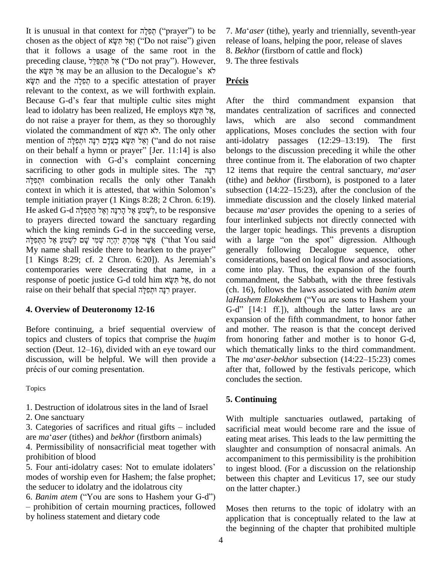It is unusual in that context for חְפִלָּה ('prayer'') to be 7. Ma It is unusual in that context for תְּפָלָה ("prayer") to be 7. Ma<br>chosen as the object of יְאֲל הִשָּׂא (Do not raise") given release that it follows a usage of the same root in the chosen as the object of *יִ*שְל חִשָּל ("Do not raise") given rethat it follows a usage of the same root in the 8.<br>preceding clause, אָל הַּחְפַּלֵל ("Do not pray"). However, 9. that it follows a usage of the same root in the 8. *Be* preceding clause, *אֲל* תִּחְפַּלֵל ("Do not pray"). However, 9. The www are negation to the Decalogue's  $\dot{x}$ preceding clause, פְּלְתַּפְלֵל ("Do not pray"). However, 9.<br>
the מִשְּׂא may be an allusion to the Decalogue's לֹא<br>
to a specific attestation of prayer **Product prayer** relevant to the context, as we will forthwith explain.<br>Because G-d's fear that multiple cultic sites might A<br>lead to idolatry has been realized, He employs יצל תִּשָּׂא m Recise of the discussed of prayer and the discussed of prayer relevant to the context, as we will forthwith explain.<br>Because G-d's fear that multiple cultic sites might After do not raise a prayer for them, as they so thoroughly laws,<br>
violated the commandment of לֹא תִשְׂא בְּעֲדָם רְנָּה וּתְפִלָּה applic<br>
mention of יְאֵל תִּשְׂא בַעֲדָם רִנָּה וּתִפִלָּה)<br>
(and do not raise anti-id lead to idolatry has been realized, He employs אֲלֹתְשָׂא manda<br>do not raise a praver for them, as they so thoroughly laws. violated the commandment of לֹא תִשְא בִעֲדָם וּתְפִלָּה ('and do not raise mention of יְאֵל תִּשָּא בַעֲדָם ו<br>וְאֵל תִּשָּא בַעֲדָם וּתִפְלָה ('and do not raise on their behalf a hymn or prayer'' [Jer. 11:14] is also mention of יְאֲל הִשָּׂא בַעֲדָם רִנָּה וּתְפִלָּה mention of יְאֲל הַשָּׂא בַעֲדָם רִנָּה וּתְפִלָּה<br>
on their behalf a hymn or prayer" [Jer. 11:14] is also belong<br>
in connection with G-d's complaint concerning three or on their behalf a hymn or prayer" [Jer. 11:14] is also bel<br>in connection with G-d's complaint concerning thr<br>sacrificing to other gods in multiple sites. The רְנָה 12 combination recalls the only other Tanakh context in which it is attested, that within Solomon's<br>
combination recalls the only other Tanakh (tith<br>
context in which it is attested, that within Solomon's subs temple initiation prayer (1 Kings 8:28; 2 Chron. 6:19). e context in which it is attested, that within Solomon's subse<br>temple initiation prayer (1 Kings 8:28; 2 Chron. 6:19). imme<br>He asked G-d לְשָׁמַעַ אֶל קְרִנְה וְאֶל הַחְפִלְה, to be responsive becau to prayers directed toward the sanctuary regarding four in which the king reminds G-d in the succeeding verse, the lar yers directed toward the sanctuary regarding four in the king reminds G-d in the succeeding verse, the large the king yers with  $\frac{1}{2}$ אָשֶׁר אֲכֶּרְתָּ יִהְיֶה שְׁמִי שָׁם לְשְׁמַעָּ אֶל which the king reminds G-d in the succeeding verse, the la<br>אֲשֶׁר אָמַרְתָּ יִהְיֶה שְׁמִי שָׁם לְשְׁמַעַ אֶל הַתְּפִלָּה ("that You said with My name shall reside there to hearken to the prayer" gener אֱשֶׁר אָמַרְתָּ יִהְיֶה שְׁמִי שָׁם לִשְׁמַעַ אֶל הַתְּפִלָּה ("that You said with My name shall reside there to hearken to the prayer" generall Things 8:29; cf. 2 Chron. 6:20]). As Jeremiah's cons contemporaries were desecrating that name, in a response of poetic justice G-d told him and a corresponse of poetic justice G-d told him  $\frac{x \cdot y}{x}$ , do not co contemporaries were desecrating that name, in<br>response of poetic justice G-d told him אֵל חִשָּׁא , do no<br>אֲל חִנְהּ וּתְפִלָּה וּתְפִלָּה (הַנָּה דוּתְפִלָּה) prayer.

#### **4. Overview of Deuteronomy 12-16**

Before continuing, a brief sequential overview of expansion<br>Before continuing, a brief sequential overview of and mother<br>topics and clusters of topics that comprise the *huqim* from hone Before continuing, a brief sequential overview of and<br>topics and clusters of topics that comprise the *huqim* from<br>section (Deut. 12–16), divided with an eye toward our wh discussion, will be helpful. We will then provide a The  $ma'aser-bekhor$  subsection (14:22–15:23) comes section (Deut. 12–16), divided with an eye toward our discussion, will be helpful. We will then provide a précis of our coming presentation.

Topics

1. Destruction of idolatrous sites in the land of Israel

2. One sanctuary

1. Destruction of idolatrous sites in the land of Israel<br>2. One sanctuary<br>3. Categories of sacrifices and ritual gifts – included sacrific 2. One sanctuary<br>3. Categories of sacrifices and ritual gifts – included<br>are *ma*<sup>\*</sup>*aser* (tithes) and *bekhor* (firstborn animals)

4. Permissibility of nonsacrificial meat together with slaugh<br>prohibition of blood accom<br>5. Four anti-idolatry cases: Not to emulate idolaters<sup>7</sup> to ing prohibition of blood

modes of worship even for Hashem; the false prophet; bet<br>the seducer to idolatry and the idolatrous city on<br>6. *Banim atem* ("You are sons to Hashem your G-d") the seducer to idolatry and the idolatrous city

 prohibition of certain mourning practices, followed by holiness statement and dietary code

7. *Ma*ë*aser* (tithe), yearly and triennially, seventh-year release of loans, helping the poor, release of slaves 8. *Bekhor* (firstborn of cattle and flock)

9. The three festivals **PrÈcis**

After the third commandment expansion that mandates centralization of sacrifices and connected which are also second commandment applications, Moses concludes the section with four anti-idolatry passages  $(12:29-13:19)$ . The first belongs to the discussion preceding it while the other three continue from it. The elaboration of two chapter belongs to the discussion preceding it while the other<br>three continue from it. The elaboration of two chapter<br>12 items that require the central sanctuary,  $ma^i$  *aser* (tithe) and *bekhor* (firstborn), is postponed to a later 12 items that require the central sanctuary,  $ma<sup>2</sup>aser$ immediate discussion and the closely linked material subsection  $(14:22-15:23)$ , after the conclusion of the immediate discussion and the closely linked material because  $ma^2$  aser provides the opening to a series of four interlinked subjects not directly connected with the larger topic headings. This prevents a disruption with a large "on the spot" digression. Although generally following Decalogue sequence, other considerations, based on logical flow and associations, come into play. Thus, the expansion of the fourth commandment, the Sabbath, with the three festivals (ch. 16), follows the laws associated with *banim atem laHashem Elokekhem* ("You are sons to Hashem your (ch. 16), follows the laws associated with *banim atem laHashem Elokekhem* ("You are sons to Hashem your G-d" [14:1 ff.]), although the latter laws are an expansion of the fifth commandment, to honor father and mother. The reason is that the concept derived from honoring father and mother is to honor G-d, which thematically links to the third commandment.<br>The *ma*<sup>*e*</sup>*aser-bekhor* subsection (14:22–15:23) comes which thematically links to the third commandment. after that, followed by the festivals pericope, which concludes the section.

## **5. Continuing**

With multiple sanctuaries outlawed, partaking of sacrificial meat would become rare and the issue of eating meat arises. This leads to the law permitting the slaughter and consumption of nonsacral animals. An accompaniment to this permissibility is the prohibition to ingest blood. (For a discussion on the relationship between this chapter and Leviticus 17, see our study on the latter chapter.)

Moses then returns to the topic of idolatry with an application that is conceptually related to the law at the beginning of the chapter that prohibited multiple